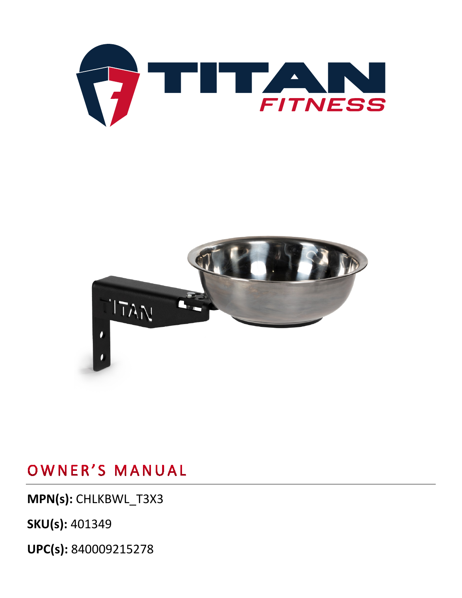**UPC(s):** 840009215278

**SKU(s):** 401349

**MPN(s):** CHLKBWL\_T3X3



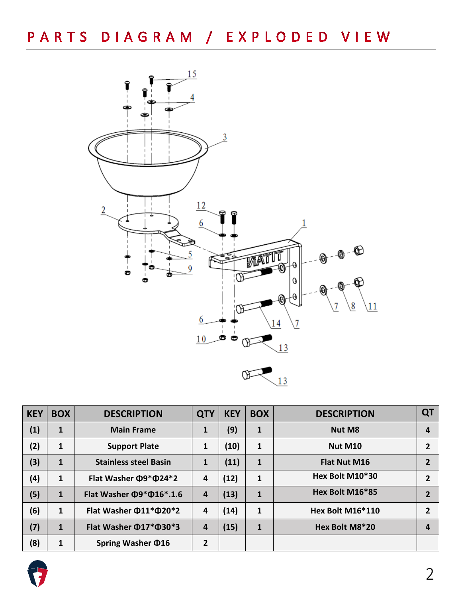

| <b>KEY</b> | <b>BOX</b>   | <b>DESCRIPTION</b>                   | <b>QTY</b> | <b>KEY</b> | <b>BOX</b>   | <b>DESCRIPTION</b>  | QT             |
|------------|--------------|--------------------------------------|------------|------------|--------------|---------------------|----------------|
| (1)        | 1            | <b>Main Frame</b>                    | 1          | (9)        | 1            | <b>Nut M8</b>       | 4              |
| (2)        | 1            | <b>Support Plate</b>                 | 1          | (10)       | $\mathbf{1}$ | Nut M10             | 2              |
| (3)        | $\mathbf{1}$ | <b>Stainless steel Basin</b>         | 1          | (11)       | $\mathbf{1}$ | <b>Flat Nut M16</b> | 2              |
| (4)        | 1            | Flat Washer Ф9*Ф24*2                 | 4          | (12)       | $\mathbf{1}$ | Hex Bolt M10*30     | $\overline{2}$ |
| (5)        | $\mathbf{1}$ | Flat Washer $\Phi$ 9* $\Phi$ 16*.1.6 | 4          | (13)       | $\mathbf{1}$ | Hex Bolt M16*85     | 2              |
| (6)        | 1            | Flat Washer $\Phi$ 11* $\Phi$ 20*2   | 4          | (14)       | $\mathbf{1}$ | Hex Bolt M16*110    | 2              |
| (7)        | $\mathbf{1}$ | Flat Washer $\Phi$ 17* $\Phi$ 30*3   | 4          | (15)       | $\mathbf{1}$ | Hex Bolt M8*20      |                |
| (8)        | 1            | Spring Washer $\Phi$ 16              | 2          |            |              |                     |                |

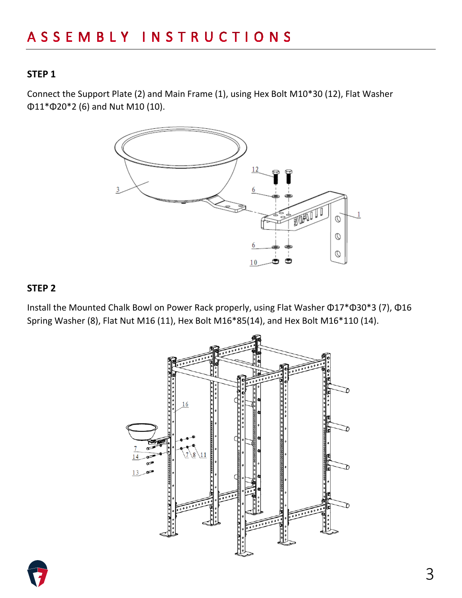### **STEP 1**

Connect the Support Plate (2) and Main Frame (1), using Hex Bolt M10\*30 (12), Flat Washer Φ11\*Φ20\*2 (6) and Nut M10 (10).



#### **STEP 2**

Install the Mounted Chalk Bowl on Power Rack properly, using Flat Washer Φ17\*Φ30\*3 (7), Φ16 Spring Washer (8), Flat Nut M16 (11), Hex Bolt M16\*85(14), and Hex Bolt M16\*110 (14).